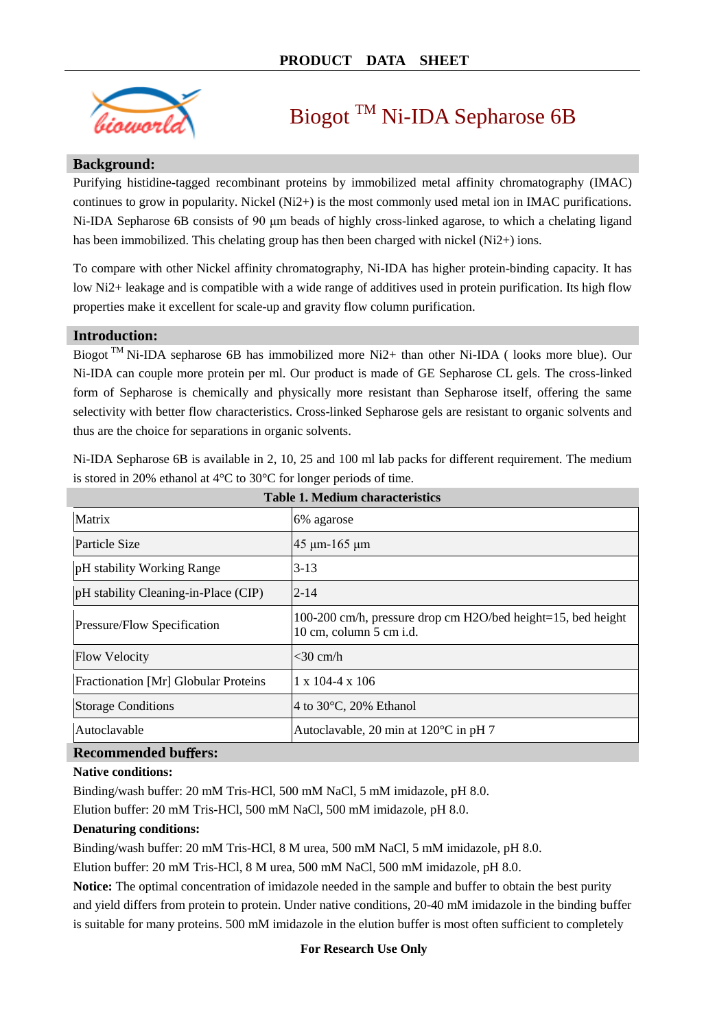

# Biogot <sup>TM</sup> Ni-IDA Sepharose 6B

#### **Background:**

Purifying histidine-tagged recombinant proteins by immobilized metal affinity chromatography (IMAC) continues to grow in popularity. Nickel (Ni2+) is the most commonly used metal ion in IMAC purifications. Ni-IDA Sepharose 6B consists of 90 μm beads of highly cross-linked agarose, to which a chelating ligand has been immobilized. This chelating group has then been charged with nickel (Ni2+) ions.

To compare with other Nickel affinity chromatography, Ni-IDA has higher protein-binding capacity. It has low Ni2+ leakage and is compatible with a wide range of additives used in protein purification. Its high flow properties make it excellent for scale-up and gravity flow column purification.

#### **Introduction:**

Biogot <sup>TM</sup> Ni-IDA sepharose 6B has immobilized more Ni2+ than other Ni-IDA (looks more blue). Our Ni-IDA can couple more protein per ml. Our product is made of GE Sepharose CL gels. The cross-linked form of Sepharose is chemically and physically more resistant than Sepharose itself, offering the same selectivity with better flow characteristics. Cross-linked Sepharose gels are resistant to organic solvents and thus are the choice for separations in organic solvents.

| <b>Table 1. Medium characteristics</b> |                                                                                         |  |  |  |  |
|----------------------------------------|-----------------------------------------------------------------------------------------|--|--|--|--|
| <b>Matrix</b>                          | 6% agarose                                                                              |  |  |  |  |
| Particle Size                          | $45 \mu m - 165 \mu m$                                                                  |  |  |  |  |
| pH stability Working Range             | $3-13$                                                                                  |  |  |  |  |
| pH stability Cleaning-in-Place (CIP)   | $2 - 14$                                                                                |  |  |  |  |
| Pressure/Flow Specification            | 100-200 cm/h, pressure drop cm H2O/bed height=15, bed height<br>10 cm, column 5 cm i.d. |  |  |  |  |
| <b>Flow Velocity</b>                   | $<$ 30 cm/h                                                                             |  |  |  |  |
| Fractionation [Mr] Globular Proteins   | $1 \times 104 - 4 \times 106$                                                           |  |  |  |  |
| <b>Storage Conditions</b>              | 4 to 30 °C, 20% Ethanol                                                                 |  |  |  |  |
| Autoclavable                           | Autoclavable, 20 min at $120 \text{ C}$ in pH 7                                         |  |  |  |  |
| <b>Recommended buffers:</b>            |                                                                                         |  |  |  |  |

Ni-IDA Sepharose 6B is available in 2, 10, 25 and 100 ml lab packs for different requirement. The medium is stored in 20% ethanol at 4  $\mathbb C$  to 30  $\mathbb C$  for longer periods of time.

#### **Native conditions:**

Binding/wash buffer: 20 mM Tris-HCl, 500 mM NaCl, 5 mM imidazole, pH 8.0.

Elution buffer: 20 mM Tris-HCl, 500 mM NaCl, 500 mM imidazole, pH 8.0.

#### **Denaturing conditions:**

Binding/wash buffer: 20 mM Tris-HCl, 8 M urea, 500 mM NaCl, 5 mM imidazole, pH 8.0.

Elution buffer: 20 mM Tris-HCl, 8 M urea, 500 mM NaCl, 500 mM imidazole, pH 8.0.

**Notice:** The optimal concentration of imidazole needed in the sample and buffer to obtain the best purity and yield differs from protein to protein. Under native conditions, 20-40 mM imidazole in the binding buffer is suitable for many proteins. 500 mM imidazole in the elution buffer is most often sufficient to completely

#### **For Research Use Only**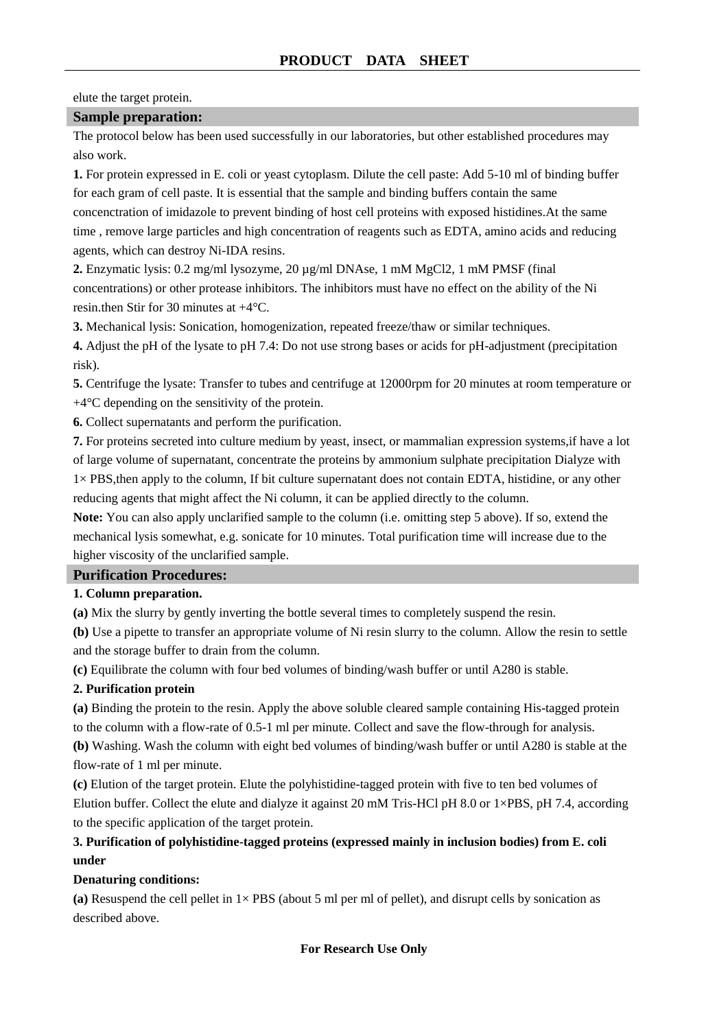#### elute the target protein.

#### **Sample preparation:**

The protocol below has been used successfully in our laboratories, but other established procedures may also work.

**1.** For protein expressed in E. coli or yeast cytoplasm. Dilute the cell paste: Add 5-10 ml of binding buffer for each gram of cell paste. It is essential that the sample and binding buffers contain the same concenctration of imidazole to prevent binding of host cell proteins with exposed histidines.At the same time , remove large particles and high concentration of reagents such as EDTA, amino acids and reducing agents, which can destroy Ni-IDA resins.

**2.** Enzymatic lysis: 0.2 mg/ml lysozyme, 20 µg/ml DNAse, 1 mM MgCl2, 1 mM PMSF (final concentrations) or other protease inhibitors. The inhibitors must have no effect on the ability of the Ni resin.then Stir for 30 minutes at  $+4 \text{ C}$ .

**3.** Mechanical lysis: Sonication, homogenization, repeated freeze/thaw or similar techniques.

**4.** Adjust the pH of the lysate to pH 7.4: Do not use strong bases or acids for pH-adjustment (precipitation risk).

**5.** Centrifuge the lysate: Transfer to tubes and centrifuge at 12000rpm for 20 minutes at room temperature or  $+4\text{ }\mathcal{C}$  depending on the sensitivity of the protein.

**6.** Collect supernatants and perform the purification.

**7.** For proteins secreted into culture medium by yeast, insect, or mammalian expression systems,if have a lot of large volume of supernatant, concentrate the proteins by ammonium sulphate precipitation Dialyze with 1× PBS,then apply to the column, If bit culture supernatant does not contain EDTA, histidine, or any other reducing agents that might affect the Ni column, it can be applied directly to the column.

**Note:** You can also apply unclarified sample to the column (i.e. omitting step 5 above). If so, extend the mechanical lysis somewhat, e.g. sonicate for 10 minutes. Total purification time will increase due to the higher viscosity of the unclarified sample.

## **Purification Procedures:**

#### **1. Column preparation.**

**(a)** Mix the slurry by gently inverting the bottle several times to completely suspend the resin.

**(b)** Use a pipette to transfer an appropriate volume of Ni resin slurry to the column. Allow the resin to settle and the storage buffer to drain from the column.

**(c)** Equilibrate the column with four bed volumes of binding/wash buffer or until A280 is stable.

#### **2. Purification protein**

**(a)** Binding the protein to the resin. Apply the above soluble cleared sample containing His-tagged protein to the column with a flow-rate of 0.5-1 ml per minute. Collect and save the flow-through for analysis.

**(b)** Washing. Wash the column with eight bed volumes of binding/wash buffer or until A280 is stable at the flow-rate of 1 ml per minute.

**(c)** Elution of the target protein. Elute the polyhistidine-tagged protein with five to ten bed volumes of Elution buffer. Collect the elute and dialyze it against 20 mM Tris-HCl pH 8.0 or 1×PBS, pH 7.4, according to the specific application of the target protein.

### **3. Purification of polyhistidine-tagged proteins (expressed mainly in inclusion bodies) from E. coli under**

#### **Denaturing conditions:**

(a) Resuspend the cell pellet in  $1 \times PBS$  (about 5 ml per ml of pellet), and disrupt cells by sonication as described above.